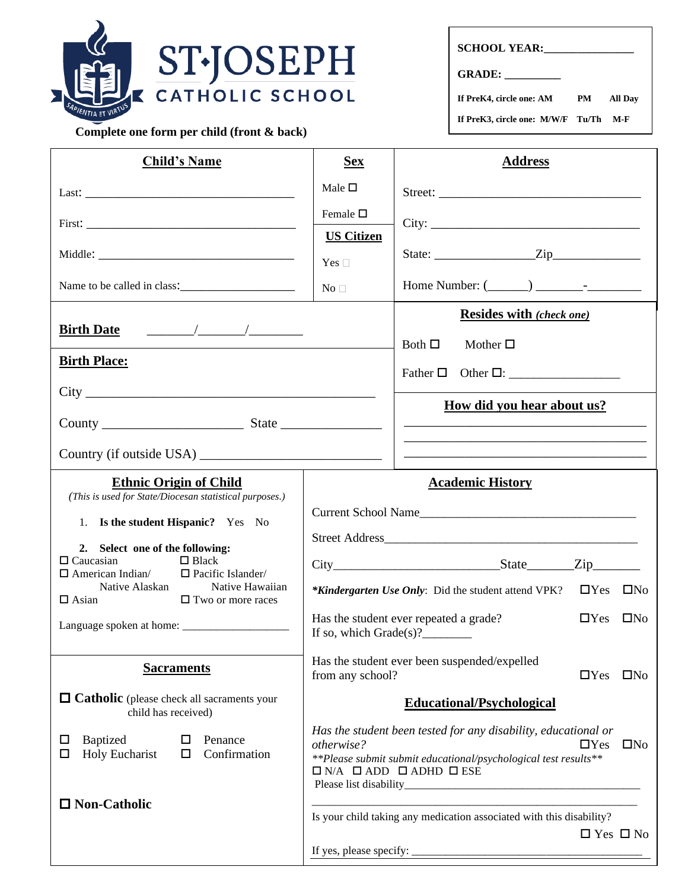

 **Complete one form per child (front & back)**

| <b>SCHOOL YEAR:</b> |  |
|---------------------|--|
|---------------------|--|

**GRADE: \_\_\_\_\_\_\_\_\_\_**

**If PreK4, circle one: AM PM All Day**

**If PreK3, circle one: M/W/F Tu/Th M-F**

| <b>Child's Name</b>                                                                                                             | <b>Sex</b>                                                                                                                                                                                                                    | <b>Address</b>                                                                               |
|---------------------------------------------------------------------------------------------------------------------------------|-------------------------------------------------------------------------------------------------------------------------------------------------------------------------------------------------------------------------------|----------------------------------------------------------------------------------------------|
|                                                                                                                                 | Male $\Box$                                                                                                                                                                                                                   |                                                                                              |
|                                                                                                                                 | Female $\square$<br><b>US Citizen</b>                                                                                                                                                                                         |                                                                                              |
|                                                                                                                                 | Yes $\Box$                                                                                                                                                                                                                    | State: $\qquad \qquad \text{Zip} \qquad \qquad$                                              |
| Name to be called in class:                                                                                                     | No <sub>1</sub>                                                                                                                                                                                                               |                                                                                              |
| <b>Birth Date</b>                                                                                                               |                                                                                                                                                                                                                               | <b>Resides with (check one)</b><br>Both $\Box$<br>Mother $\square$                           |
| <b>Birth Place:</b>                                                                                                             |                                                                                                                                                                                                                               | Father $\Box$                                                                                |
|                                                                                                                                 |                                                                                                                                                                                                                               |                                                                                              |
|                                                                                                                                 |                                                                                                                                                                                                                               | <u>How did you hear about us?</u>                                                            |
|                                                                                                                                 |                                                                                                                                                                                                                               |                                                                                              |
| <b>Ethnic Origin of Child</b><br>(This is used for State/Diocesan statistical purposes.)                                        |                                                                                                                                                                                                                               | <b>Academic History</b>                                                                      |
| 1. Is the student Hispanic? Yes No                                                                                              |                                                                                                                                                                                                                               |                                                                                              |
| 2. Select one of the following:<br>$\Box$ Caucasian<br>$\Box$ Black                                                             |                                                                                                                                                                                                                               |                                                                                              |
| $\Box$ American Indian/<br>$\Box$ Pacific Islander/<br>Native Alaskan<br>Native Hawaiian<br>$\Box$ Asian<br>□ Two or more races |                                                                                                                                                                                                                               | $\Box$ Yes $\Box$ No<br><i>*Kindergarten Use Only:</i> Did the student attend VPK?           |
|                                                                                                                                 | If so, which Grade(s)?________                                                                                                                                                                                                | Has the student ever repeated a grade?<br>$\Box$ Yes<br>$\square$ No                         |
| <b>Sacraments</b>                                                                                                               | from any school?                                                                                                                                                                                                              | Has the student ever been suspended/expelled<br>$\square$ No<br>$\Box$ Yes                   |
| $\Box$ Catholic (please check all sacraments your<br>child has received)                                                        |                                                                                                                                                                                                                               | <b>Educational/Psychological</b>                                                             |
| <b>Baptized</b><br>Penance<br>□<br>ப<br>Confirmation<br><b>Holy Eucharist</b><br>□<br>⊔                                         | Has the student been tested for any disability, educational or<br>otherwise?<br>$\square$ No<br>$\Box$ Yes<br>**Please submit submit educational/psychological test results**<br>$\Box$ N/A $\Box$ ADD $\Box$ ADHD $\Box$ ESE |                                                                                              |
| $\Box$ Non-Catholic                                                                                                             |                                                                                                                                                                                                                               | Is your child taking any medication associated with this disability?<br>$\Box$ Yes $\Box$ No |
|                                                                                                                                 |                                                                                                                                                                                                                               |                                                                                              |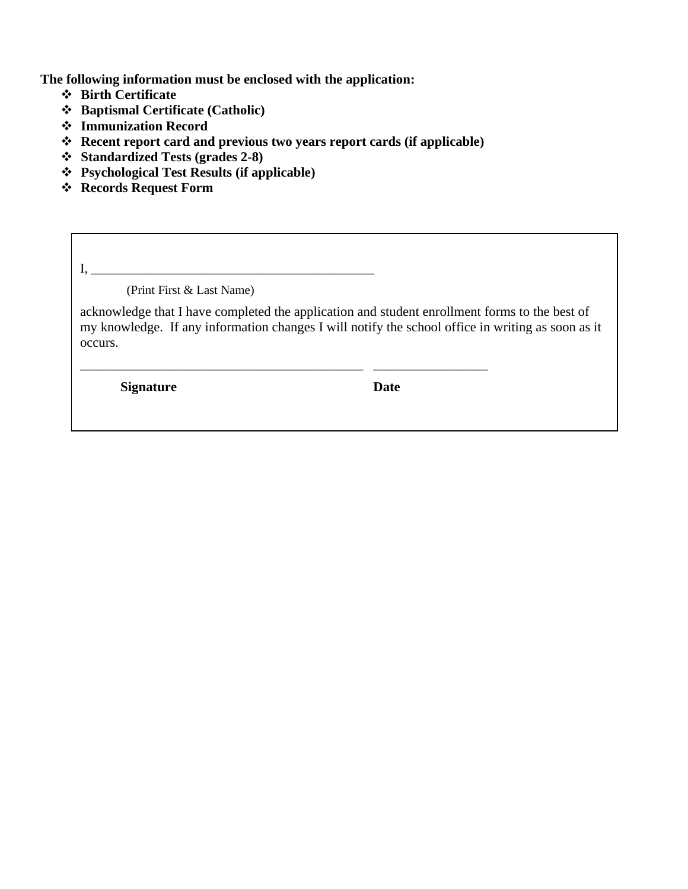**The following information must be enclosed with the application:**

- ❖ **Birth Certificate**
- ❖ **Baptismal Certificate (Catholic)**
- ❖ **Immunization Record**
- ❖ **Recent report card and previous two years report cards (if applicable)**

\_\_\_\_\_\_\_\_\_\_\_\_\_\_\_\_\_\_\_\_\_\_\_\_\_\_\_\_\_\_\_\_\_\_\_\_\_\_\_\_\_\_ \_\_\_\_\_\_\_\_\_\_\_\_\_\_\_\_\_

- ❖ **Standardized Tests (grades 2-8)**
- ❖ **Psychological Test Results (if applicable)**
- ❖ **Records Request Form**

 $I, \_\_$ (Print First & Last Name)

acknowledge that I have completed the application and student enrollment forms to the best of my knowledge. If any information changes I will notify the school office in writing as soon as it occurs.

**Signature** Date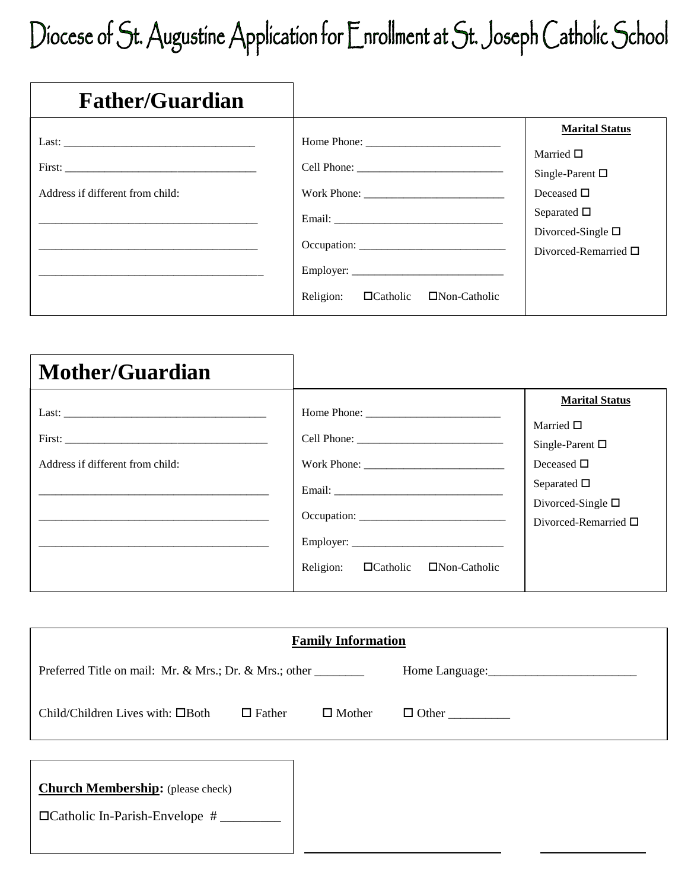# Diocese of St. Augustine Application for Enrollment at St. Joseph Catholic School

| <b>Father/Guardian</b>                                             |                                                                                                                                                                                                                                                                                       |                                                                                                                                                                           |
|--------------------------------------------------------------------|---------------------------------------------------------------------------------------------------------------------------------------------------------------------------------------------------------------------------------------------------------------------------------------|---------------------------------------------------------------------------------------------------------------------------------------------------------------------------|
| Last: $\overline{\phantom{a}}$<br>Address if different from child: | Email: The contract of the contract of the contract of the contract of the contract of the contract of the contract of the contract of the contract of the contract of the contract of the contract of the contract of the con<br>Religion:<br>$\Box$ Catholic<br>$\Box$ Non-Catholic | <b>Marital Status</b><br>Married $\Box$<br>Single-Parent $\square$<br>Deceased $\square$<br>Separated $\Box$<br>Divorced-Single $\square$<br>Divorced-Remarried $\square$ |

| <b>Mother/Guardian</b>           |                                                                                                                                                                                                                                                                                           |                                                                                                                                                                              |
|----------------------------------|-------------------------------------------------------------------------------------------------------------------------------------------------------------------------------------------------------------------------------------------------------------------------------------------|------------------------------------------------------------------------------------------------------------------------------------------------------------------------------|
| Address if different from child: | Work Phone:<br>Email: The contract of the contract of the contract of the contract of the contract of the contract of the contract of the contract of the contract of the contract of the contract of the contract of the contract of the con<br>Religion: <b>Catholic C</b> Non-Catholic | <b>Marital Status</b><br>Married $\square$<br>Single-Parent $\square$<br>Deceased $\square$<br>Separated $\Box$<br>Divorced-Single $\square$<br>Divorced-Remarried $\square$ |

| <b>Family Information</b>                               |               |  |  |  |
|---------------------------------------------------------|---------------|--|--|--|
| Preferred Title on mail: Mr. & Mrs.; Dr. & Mrs.; other  |               |  |  |  |
| Child/Children Lives with: $\Box$ Both<br>$\Box$ Father | $\Box$ Mother |  |  |  |
| <b>Church Membership:</b> (please check)                |               |  |  |  |
|                                                         |               |  |  |  |